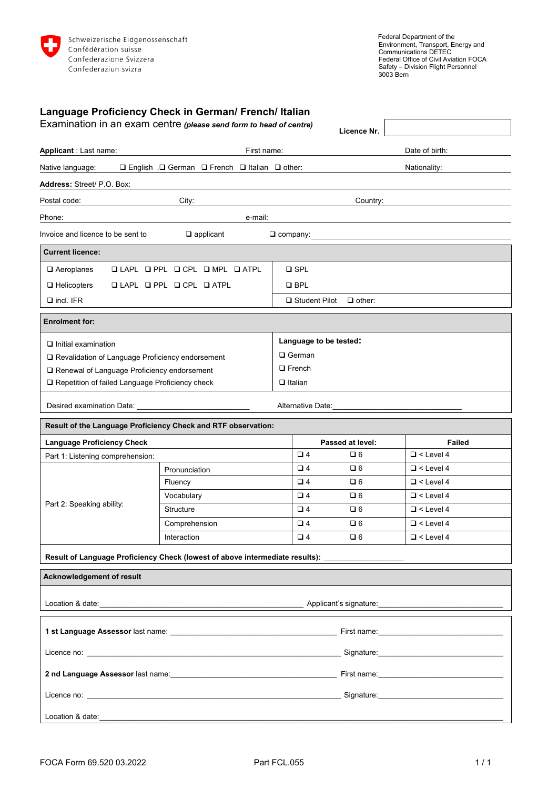

| Language Proficiency Check in German/ French/ Italian                                                                                                                                                                                |                                                                           |                        |                  |                                                                                                                                                                                                                               |
|--------------------------------------------------------------------------------------------------------------------------------------------------------------------------------------------------------------------------------------|---------------------------------------------------------------------------|------------------------|------------------|-------------------------------------------------------------------------------------------------------------------------------------------------------------------------------------------------------------------------------|
| Examination in an exam centre (please send form to head of centre)                                                                                                                                                                   |                                                                           |                        | Licence Nr.      |                                                                                                                                                                                                                               |
| Applicant : Last name:                                                                                                                                                                                                               | First name:                                                               |                        | Date of birth:   |                                                                                                                                                                                                                               |
| Native language:                                                                                                                                                                                                                     | $\Box$ English . $\Box$ German $\Box$ French $\Box$ Italian $\Box$ other: |                        | Nationality:     |                                                                                                                                                                                                                               |
| Address: Street/ P.O. Box:                                                                                                                                                                                                           |                                                                           |                        |                  |                                                                                                                                                                                                                               |
| Postal code:                                                                                                                                                                                                                         | City: Executive City:                                                     |                        | Country:         |                                                                                                                                                                                                                               |
| Phone:                                                                                                                                                                                                                               | e-mail:<br><u> 1989 - Johann Barnett, fransk politiker (d. 1989)</u>      |                        |                  |                                                                                                                                                                                                                               |
| Invoice and licence to be sent to<br>$\square$ applicant                                                                                                                                                                             |                                                                           |                        |                  |                                                                                                                                                                                                                               |
| <b>Current licence:</b>                                                                                                                                                                                                              |                                                                           |                        |                  |                                                                                                                                                                                                                               |
| QLAPL QPPL QCPL QMPL QATPL<br>$\Box$ Aeroplanes                                                                                                                                                                                      |                                                                           | $\square$ SPL          |                  |                                                                                                                                                                                                                               |
| $\Box$ Helicopters<br>$\Box$ LAPL $\Box$ PPL $\Box$ CPL $\Box$ ATPL                                                                                                                                                                  |                                                                           | $\Box$ BPL             |                  |                                                                                                                                                                                                                               |
| $\Box$ incl. IFR                                                                                                                                                                                                                     |                                                                           | □ Student Pilot        | $\Box$ other:    |                                                                                                                                                                                                                               |
| <b>Enrolment for:</b>                                                                                                                                                                                                                |                                                                           |                        |                  |                                                                                                                                                                                                                               |
| $\Box$ Initial examination                                                                                                                                                                                                           |                                                                           | Language to be tested: |                  |                                                                                                                                                                                                                               |
| □ Revalidation of Language Proficiency endorsement                                                                                                                                                                                   |                                                                           | □ German               |                  |                                                                                                                                                                                                                               |
| □ Renewal of Language Proficiency endorsement                                                                                                                                                                                        |                                                                           | $\Box$ French          |                  |                                                                                                                                                                                                                               |
| □ Repetition of failed Language Proficiency check                                                                                                                                                                                    |                                                                           | $\Box$ Italian         |                  |                                                                                                                                                                                                                               |
|                                                                                                                                                                                                                                      |                                                                           |                        |                  | Alternative Date: Management Control of the Management Control of the Management Control of the Management Control of the Management Control of the Management Control of the Management Control of the Management Control of |
| Result of the Language Proficiency Check and RTF observation:                                                                                                                                                                        |                                                                           |                        |                  |                                                                                                                                                                                                                               |
| <b>Language Proficiency Check</b>                                                                                                                                                                                                    |                                                                           |                        | Passed at level: | <b>Failed</b>                                                                                                                                                                                                                 |
| Part 1: Listening comprehension:                                                                                                                                                                                                     |                                                                           | $\Box$ 4               | $\square$ 6      | $\Box$ < Level 4                                                                                                                                                                                                              |
| Part 2: Speaking ability:                                                                                                                                                                                                            | Pronunciation                                                             | $\Box$ 4               | $\square$ 6      | $\Box$ < Level 4                                                                                                                                                                                                              |
|                                                                                                                                                                                                                                      | Fluency                                                                   | $\Box$ 4               | $\square$ 6      | $\Box$ < Level 4                                                                                                                                                                                                              |
|                                                                                                                                                                                                                                      | Vocabulary                                                                | $\Box$ 4               | $\square$ 6      | $\Box$ < Level 4                                                                                                                                                                                                              |
|                                                                                                                                                                                                                                      | <b>Structure</b>                                                          | $\Box$ 4               | $\Box$ 6         | $\Box$ < Level 4                                                                                                                                                                                                              |
|                                                                                                                                                                                                                                      | Comprehension                                                             | $\square$ 4            | $\square$ 6      | $\Box$ < Level 4                                                                                                                                                                                                              |
|                                                                                                                                                                                                                                      | Interaction                                                               | $\Box$ 4               | $\square$ 6      | $\Box$ < Level 4                                                                                                                                                                                                              |
| Result of Language Proficiency Check (lowest of above intermediate results): _____________________                                                                                                                                   |                                                                           |                        |                  |                                                                                                                                                                                                                               |
| <b>Acknowledgement of result</b>                                                                                                                                                                                                     |                                                                           |                        |                  |                                                                                                                                                                                                                               |
|                                                                                                                                                                                                                                      |                                                                           |                        |                  |                                                                                                                                                                                                                               |
|                                                                                                                                                                                                                                      |                                                                           |                        |                  |                                                                                                                                                                                                                               |
|                                                                                                                                                                                                                                      |                                                                           |                        |                  |                                                                                                                                                                                                                               |
|                                                                                                                                                                                                                                      |                                                                           |                        |                  |                                                                                                                                                                                                                               |
|                                                                                                                                                                                                                                      |                                                                           |                        |                  |                                                                                                                                                                                                                               |
|                                                                                                                                                                                                                                      |                                                                           |                        |                  |                                                                                                                                                                                                                               |
| Location & date: <u>contact the contract of the contract of the contract of the contract of the contract of the contract of the contract of the contract of the contract of the contract of the contract of the contract of the </u> |                                                                           |                        |                  |                                                                                                                                                                                                                               |
|                                                                                                                                                                                                                                      |                                                                           |                        |                  |                                                                                                                                                                                                                               |